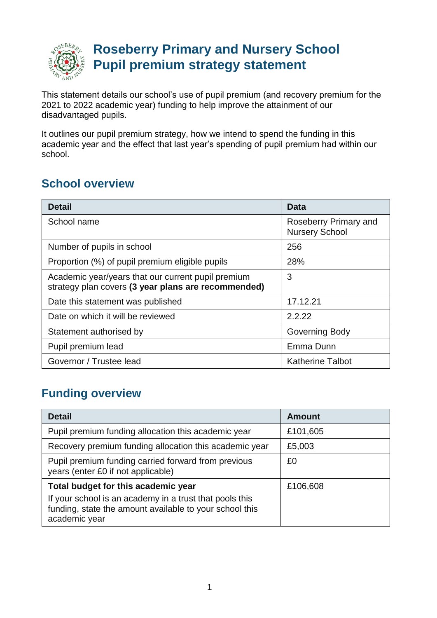

## **Roseberry Primary and Nursery School Pupil premium strategy statement**

This statement details our school's use of pupil premium (and recovery premium for the 2021 to 2022 academic year) funding to help improve the attainment of our disadvantaged pupils.

It outlines our pupil premium strategy, how we intend to spend the funding in this academic year and the effect that last year's spending of pupil premium had within our school.

### **School overview**

| <b>Detail</b>                                                                                             | Data                                           |
|-----------------------------------------------------------------------------------------------------------|------------------------------------------------|
| School name                                                                                               | Roseberry Primary and<br><b>Nursery School</b> |
| Number of pupils in school                                                                                | 256                                            |
| Proportion (%) of pupil premium eligible pupils                                                           | 28%                                            |
| Academic year/years that our current pupil premium<br>strategy plan covers (3 year plans are recommended) | 3                                              |
| Date this statement was published                                                                         | 17.12.21                                       |
| Date on which it will be reviewed                                                                         | 2.2.22                                         |
| Statement authorised by                                                                                   | Governing Body                                 |
| Pupil premium lead                                                                                        | Emma Dunn                                      |
| Governor / Trustee lead                                                                                   | <b>Katherine Talbot</b>                        |

### **Funding overview**

| <b>Detail</b>                                                                                                                                                              | <b>Amount</b> |
|----------------------------------------------------------------------------------------------------------------------------------------------------------------------------|---------------|
| Pupil premium funding allocation this academic year                                                                                                                        | £101,605      |
| Recovery premium funding allocation this academic year                                                                                                                     | £5,003        |
| Pupil premium funding carried forward from previous<br>years (enter £0 if not applicable)                                                                                  | £0            |
| Total budget for this academic year<br>If your school is an academy in a trust that pools this<br>funding, state the amount available to your school this<br>academic year | £106,608      |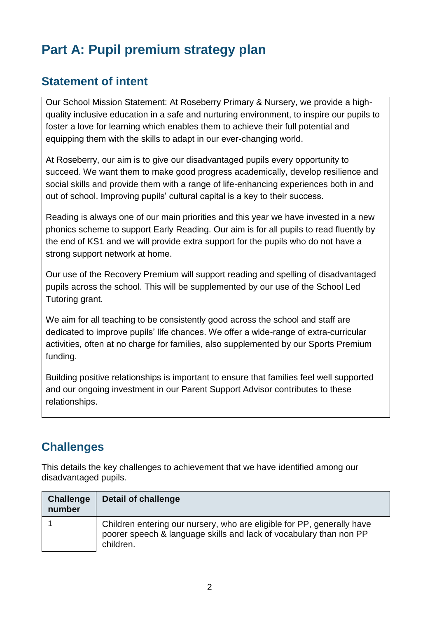## **Part A: Pupil premium strategy plan**

#### **Statement of intent**

Our School Mission Statement: At Roseberry Primary & Nursery, we provide a highquality inclusive education in a safe and nurturing environment, to inspire our pupils to foster a love for learning which enables them to achieve their full potential and equipping them with the skills to adapt in our ever-changing world.

At Roseberry, our aim is to give our disadvantaged pupils every opportunity to succeed. We want them to make good progress academically, develop resilience and social skills and provide them with a range of life-enhancing experiences both in and out of school. Improving pupils' cultural capital is a key to their success.

Reading is always one of our main priorities and this year we have invested in a new phonics scheme to support Early Reading. Our aim is for all pupils to read fluently by the end of KS1 and we will provide extra support for the pupils who do not have a strong support network at home.

Our use of the Recovery Premium will support reading and spelling of disadvantaged pupils across the school. This will be supplemented by our use of the School Led Tutoring grant.

We aim for all teaching to be consistently good across the school and staff are dedicated to improve pupils' life chances. We offer a wide-range of extra-curricular activities, often at no charge for families, also supplemented by our Sports Premium funding.

Building positive relationships is important to ensure that families feel well supported and our ongoing investment in our Parent Support Advisor contributes to these relationships.

### **Challenges**

This details the key challenges to achievement that we have identified among our disadvantaged pupils.

| <b>Challenge</b><br>number | Detail of challenge                                                                                                                                       |
|----------------------------|-----------------------------------------------------------------------------------------------------------------------------------------------------------|
|                            | Children entering our nursery, who are eligible for PP, generally have<br>poorer speech & language skills and lack of vocabulary than non PP<br>children. |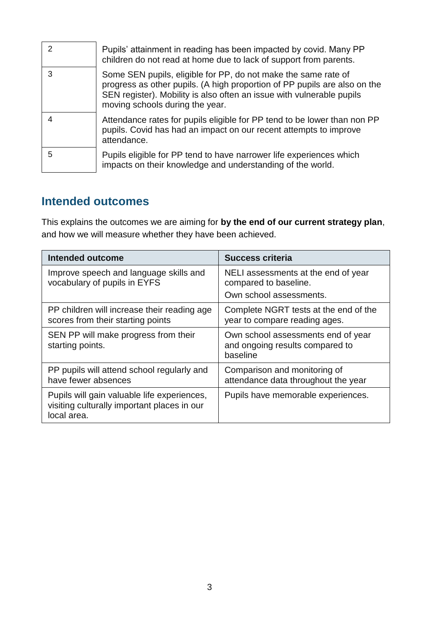| 2 | Pupils' attainment in reading has been impacted by covid. Many PP<br>children do not read at home due to lack of support from parents.                                                                                                                  |
|---|---------------------------------------------------------------------------------------------------------------------------------------------------------------------------------------------------------------------------------------------------------|
| 3 | Some SEN pupils, eligible for PP, do not make the same rate of<br>progress as other pupils. (A high proportion of PP pupils are also on the<br>SEN register). Mobility is also often an issue with vulnerable pupils<br>moving schools during the year. |
|   | Attendance rates for pupils eligible for PP tend to be lower than non PP<br>pupils. Covid has had an impact on our recent attempts to improve<br>attendance.                                                                                            |
| 5 | Pupils eligible for PP tend to have narrower life experiences which<br>impacts on their knowledge and understanding of the world.                                                                                                                       |

### **Intended outcomes**

This explains the outcomes we are aiming for **by the end of our current strategy plan**, and how we will measure whether they have been achieved.

| <b>Intended outcome</b>                                                                                   | <b>Success criteria</b>                                                                 |
|-----------------------------------------------------------------------------------------------------------|-----------------------------------------------------------------------------------------|
| Improve speech and language skills and<br>vocabulary of pupils in EYFS                                    | NELI assessments at the end of year<br>compared to baseline.<br>Own school assessments. |
| PP children will increase their reading age<br>scores from their starting points                          | Complete NGRT tests at the end of the<br>year to compare reading ages.                  |
| SEN PP will make progress from their<br>starting points.                                                  | Own school assessments end of year<br>and ongoing results compared to<br>baseline       |
| PP pupils will attend school regularly and<br>have fewer absences                                         | Comparison and monitoring of<br>attendance data throughout the year                     |
| Pupils will gain valuable life experiences,<br>visiting culturally important places in our<br>local area. | Pupils have memorable experiences.                                                      |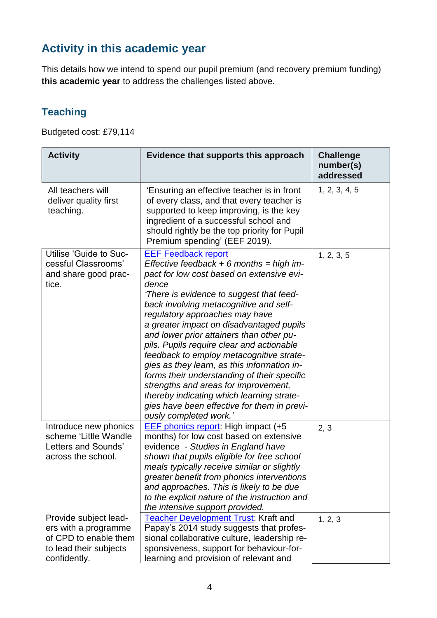## **Activity in this academic year**

This details how we intend to spend our pupil premium (and recovery premium funding) **this academic year** to address the challenges listed above.

#### **Teaching**

Budgeted cost: £79,114

| <b>Activity</b>                                                                                                  | Evidence that supports this approach                                                                                                                                                                                                                                                                                                                                                                                                                                                                                                                                                                                                                                                                | <b>Challenge</b><br>number(s)<br>addressed |
|------------------------------------------------------------------------------------------------------------------|-----------------------------------------------------------------------------------------------------------------------------------------------------------------------------------------------------------------------------------------------------------------------------------------------------------------------------------------------------------------------------------------------------------------------------------------------------------------------------------------------------------------------------------------------------------------------------------------------------------------------------------------------------------------------------------------------------|--------------------------------------------|
| All teachers will<br>deliver quality first<br>teaching.                                                          | 'Ensuring an effective teacher is in front<br>of every class, and that every teacher is<br>supported to keep improving, is the key<br>ingredient of a successful school and<br>should rightly be the top priority for Pupil<br>Premium spending' (EEF 2019).                                                                                                                                                                                                                                                                                                                                                                                                                                        | 1, 2, 3, 4, 5                              |
| Utilise 'Guide to Suc-<br>cessful Classrooms'<br>and share good prac-<br>tice.                                   | <b>EEF Feedback report</b><br>Effective feedback $+ 6$ months = high im-<br>pact for low cost based on extensive evi-<br>dence<br>'There is evidence to suggest that feed-<br>back involving metacognitive and self-<br>regulatory approaches may have<br>a greater impact on disadvantaged pupils<br>and lower prior attainers than other pu-<br>pils. Pupils require clear and actionable<br>feedback to employ metacognitive strate-<br>gies as they learn, as this information in-<br>forms their understanding of their specific<br>strengths and areas for improvement,<br>thereby indicating which learning strate-<br>gies have been effective for them in previ-<br>ously completed work.' | 1, 2, 3, 5                                 |
| Introduce new phonics<br>scheme 'Little Wandle<br>Letters and Sounds'<br>across the school.                      | <b>EEF phonics report:</b> High impact (+5<br>months) for low cost based on extensive<br>evidence - Studies in England have<br>shown that pupils eligible for free school<br>meals typically receive similar or slightly<br>greater benefit from phonics interventions<br>and approaches. This is likely to be due<br>to the explicit nature of the instruction and<br>the intensive support provided.                                                                                                                                                                                                                                                                                              | 2, 3                                       |
| Provide subject lead-<br>ers with a programme<br>of CPD to enable them<br>to lead their subjects<br>confidently. | <b>Teacher Development Trust: Kraft and</b><br>Papay's 2014 study suggests that profes-<br>sional collaborative culture, leadership re-<br>sponsiveness, support for behaviour-for-<br>learning and provision of relevant and                                                                                                                                                                                                                                                                                                                                                                                                                                                                       | 1, 2, 3                                    |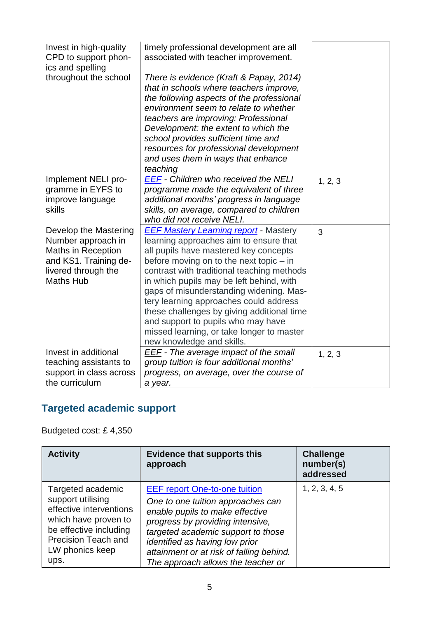| Invest in high-quality<br>CPD to support phon-<br>ics and spelling | timely professional development are all<br>associated with teacher improvement. |         |
|--------------------------------------------------------------------|---------------------------------------------------------------------------------|---------|
| throughout the school                                              | There is evidence (Kraft & Papay, 2014)                                         |         |
|                                                                    | that in schools where teachers improve,                                         |         |
|                                                                    | the following aspects of the professional                                       |         |
|                                                                    | environment seem to relate to whether                                           |         |
|                                                                    | teachers are improving: Professional                                            |         |
|                                                                    | Development: the extent to which the                                            |         |
|                                                                    | school provides sufficient time and                                             |         |
|                                                                    | resources for professional development                                          |         |
|                                                                    | and uses them in ways that enhance                                              |         |
|                                                                    | teaching                                                                        |         |
| Implement NELI pro-                                                | EEF - Children who received the NELI                                            | 1, 2, 3 |
| gramme in EYFS to                                                  | programme made the equivalent of three                                          |         |
| improve language                                                   | additional months' progress in language                                         |         |
| skills                                                             | skills, on average, compared to children                                        |         |
|                                                                    | who did not receive NELI.                                                       |         |
| Develop the Mastering                                              | <b>EEF Mastery Learning report</b> - Mastery                                    | 3       |
| Number approach in                                                 | learning approaches aim to ensure that                                          |         |
| <b>Maths in Reception</b>                                          | all pupils have mastered key concepts                                           |         |
| and KS1. Training de-                                              | before moving on to the next topic - in                                         |         |
| livered through the                                                | contrast with traditional teaching methods                                      |         |
| <b>Maths Hub</b>                                                   | in which pupils may be left behind, with                                        |         |
|                                                                    | gaps of misunderstanding widening. Mas-                                         |         |
|                                                                    | tery learning approaches could address                                          |         |
|                                                                    | these challenges by giving additional time                                      |         |
|                                                                    | and support to pupils who may have                                              |         |
|                                                                    | missed learning, or take longer to master                                       |         |
|                                                                    | new knowledge and skills.                                                       |         |
| Invest in additional                                               | <b>EEF</b> - The average impact of the small                                    | 1, 2, 3 |
| teaching assistants to                                             | group tuition is four additional months'                                        |         |
| support in class across                                            | progress, on average, over the course of                                        |         |
| the curriculum                                                     | a year.                                                                         |         |

# **Targeted academic support**

Budgeted cost: £ 4,350

| <b>Activity</b>                                                                                                                                                              | <b>Evidence that supports this</b><br>approach                                                                                                                                                                                                                                                             | <b>Challenge</b><br>number(s)<br>addressed |
|------------------------------------------------------------------------------------------------------------------------------------------------------------------------------|------------------------------------------------------------------------------------------------------------------------------------------------------------------------------------------------------------------------------------------------------------------------------------------------------------|--------------------------------------------|
| Targeted academic<br>support utilising<br>effective interventions<br>which have proven to<br>be effective including<br><b>Precision Teach and</b><br>LW phonics keep<br>ups. | <b>EEF report One-to-one tuition</b><br>One to one tuition approaches can<br>enable pupils to make effective<br>progress by providing intensive,<br>targeted academic support to those<br>identified as having low prior<br>attainment or at risk of falling behind.<br>The approach allows the teacher or | 1, 2, 3, 4, 5                              |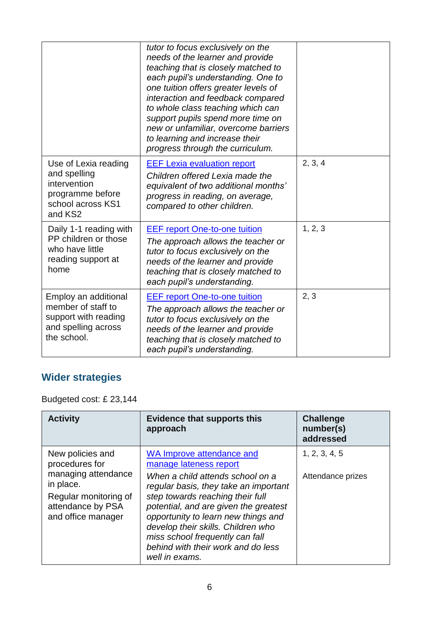|                                                                                                          | tutor to focus exclusively on the<br>needs of the learner and provide<br>teaching that is closely matched to<br>each pupil's understanding. One to<br>one tuition offers greater levels of<br>interaction and feedback compared<br>to whole class teaching which can<br>support pupils spend more time on<br>new or unfamiliar, overcome barriers<br>to learning and increase their<br>progress through the curriculum. |         |
|----------------------------------------------------------------------------------------------------------|-------------------------------------------------------------------------------------------------------------------------------------------------------------------------------------------------------------------------------------------------------------------------------------------------------------------------------------------------------------------------------------------------------------------------|---------|
| Use of Lexia reading<br>and spelling<br>intervention<br>programme before<br>school across KS1<br>and KS2 | <b>EEF Lexia evaluation report</b><br>Children offered Lexia made the<br>equivalent of two additional months'<br>progress in reading, on average,<br>compared to other children.                                                                                                                                                                                                                                        | 2, 3, 4 |
| Daily 1-1 reading with<br>PP children or those<br>who have little<br>reading support at<br>home          | <b>EEF report One-to-one tuition</b><br>The approach allows the teacher or<br>tutor to focus exclusively on the<br>needs of the learner and provide<br>teaching that is closely matched to<br>each pupil's understanding.                                                                                                                                                                                               | 1, 2, 3 |
| Employ an additional<br>member of staff to<br>support with reading<br>and spelling across<br>the school. | <b>EEF report One-to-one tuition</b><br>The approach allows the teacher or<br>tutor to focus exclusively on the<br>needs of the learner and provide<br>teaching that is closely matched to<br>each pupil's understanding.                                                                                                                                                                                               | 2, 3    |

## **Wider strategies**

Budgeted cost: £ 23,144

| <b>Activity</b>                                                                                      | <b>Evidence that supports this</b><br>approach                                                                                                                                                                                                                                                                                 | <b>Challenge</b><br>number(s)<br>addressed |
|------------------------------------------------------------------------------------------------------|--------------------------------------------------------------------------------------------------------------------------------------------------------------------------------------------------------------------------------------------------------------------------------------------------------------------------------|--------------------------------------------|
| New policies and<br>procedures for                                                                   | WA Improve attendance and<br>manage lateness report                                                                                                                                                                                                                                                                            | 1, 2, 3, 4, 5                              |
| managing attendance<br>in place.<br>Regular monitoring of<br>attendance by PSA<br>and office manager | When a child attends school on a<br>regular basis, they take an important<br>step towards reaching their full<br>potential, and are given the greatest<br>opportunity to learn new things and<br>develop their skills. Children who<br>miss school frequently can fall<br>behind with their work and do less<br>well in exams. | Attendance prizes                          |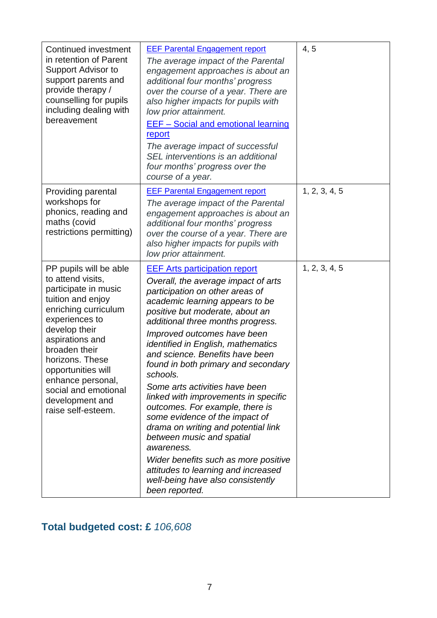| Continued investment<br>in retention of Parent<br>Support Advisor to<br>support parents and<br>provide therapy /<br>counselling for pupils<br>including dealing with<br>bereavement                                                                                                                                    | <b>EEF Parental Engagement report</b><br>The average impact of the Parental<br>engagement approaches is about an<br>additional four months' progress<br>over the course of a year. There are<br>also higher impacts for pupils with<br>low prior attainment.<br><b>EEF-Social and emotional learning</b><br>report<br>The average impact of successful<br>SEL interventions is an additional<br>four months' progress over the<br>course of a year.                                                                                                                                                                                                                                                                                                                | 4, 5          |
|------------------------------------------------------------------------------------------------------------------------------------------------------------------------------------------------------------------------------------------------------------------------------------------------------------------------|--------------------------------------------------------------------------------------------------------------------------------------------------------------------------------------------------------------------------------------------------------------------------------------------------------------------------------------------------------------------------------------------------------------------------------------------------------------------------------------------------------------------------------------------------------------------------------------------------------------------------------------------------------------------------------------------------------------------------------------------------------------------|---------------|
| Providing parental<br>workshops for<br>phonics, reading and<br>maths (covid<br>restrictions permitting)                                                                                                                                                                                                                | <b>EEF Parental Engagement report</b><br>The average impact of the Parental<br>engagement approaches is about an<br>additional four months' progress<br>over the course of a year. There are<br>also higher impacts for pupils with<br>low prior attainment.                                                                                                                                                                                                                                                                                                                                                                                                                                                                                                       | 1, 2, 3, 4, 5 |
| PP pupils will be able<br>to attend visits,<br>participate in music<br>tuition and enjoy<br>enriching curriculum<br>experiences to<br>develop their<br>aspirations and<br>broaden their<br>horizons. These<br>opportunities will<br>enhance personal,<br>social and emotional<br>development and<br>raise self-esteem. | <b>EEF Arts participation report</b><br>Overall, the average impact of arts<br>participation on other areas of<br>academic learning appears to be<br>positive but moderate, about an<br>additional three months progress.<br>Improved outcomes have been<br><i>identified in English, mathematics</i><br>and science. Benefits have been<br>found in both primary and secondary<br>schools.<br>Some arts activities have been<br>linked with improvements in specific<br>outcomes. For example, there is<br>some evidence of the impact of<br>drama on writing and potential link<br>between music and spatial<br>awareness.<br>Wider benefits such as more positive<br>attitudes to learning and increased<br>well-being have also consistently<br>been reported. | 1, 2, 3, 4, 5 |

## **Total budgeted cost: £** *106,608*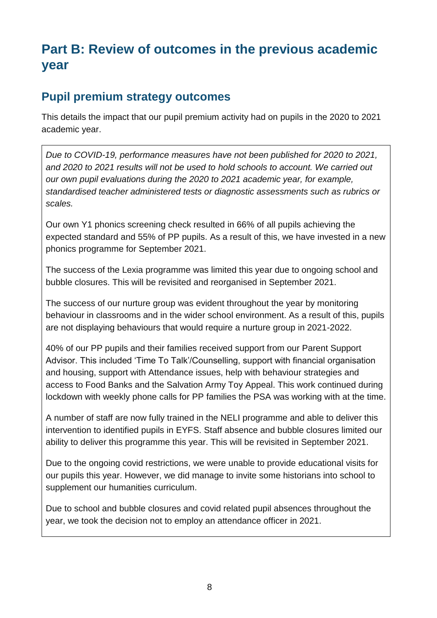## **Part B: Review of outcomes in the previous academic year**

#### **Pupil premium strategy outcomes**

This details the impact that our pupil premium activity had on pupils in the 2020 to 2021 academic year.

*Due to COVID-19, performance measures have not been published for 2020 to 2021, and 2020 to 2021 results will not be used to hold schools to account. We carried out our own pupil evaluations during the 2020 to 2021 academic year, for example, standardised teacher administered tests or diagnostic assessments such as rubrics or scales.*

Our own Y1 phonics screening check resulted in 66% of all pupils achieving the expected standard and 55% of PP pupils. As a result of this, we have invested in a new phonics programme for September 2021.

The success of the Lexia programme was limited this year due to ongoing school and bubble closures. This will be revisited and reorganised in September 2021.

The success of our nurture group was evident throughout the year by monitoring behaviour in classrooms and in the wider school environment. As a result of this, pupils are not displaying behaviours that would require a nurture group in 2021-2022.

40% of our PP pupils and their families received support from our Parent Support Advisor. This included 'Time To Talk'/Counselling, support with financial organisation and housing, support with Attendance issues, help with behaviour strategies and access to Food Banks and the Salvation Army Toy Appeal. This work continued during lockdown with weekly phone calls for PP families the PSA was working with at the time.

A number of staff are now fully trained in the NELI programme and able to deliver this intervention to identified pupils in EYFS. Staff absence and bubble closures limited our ability to deliver this programme this year. This will be revisited in September 2021.

Due to the ongoing covid restrictions, we were unable to provide educational visits for our pupils this year. However, we did manage to invite some historians into school to supplement our humanities curriculum.

Due to school and bubble closures and covid related pupil absences throughout the year, we took the decision not to employ an attendance officer in 2021.